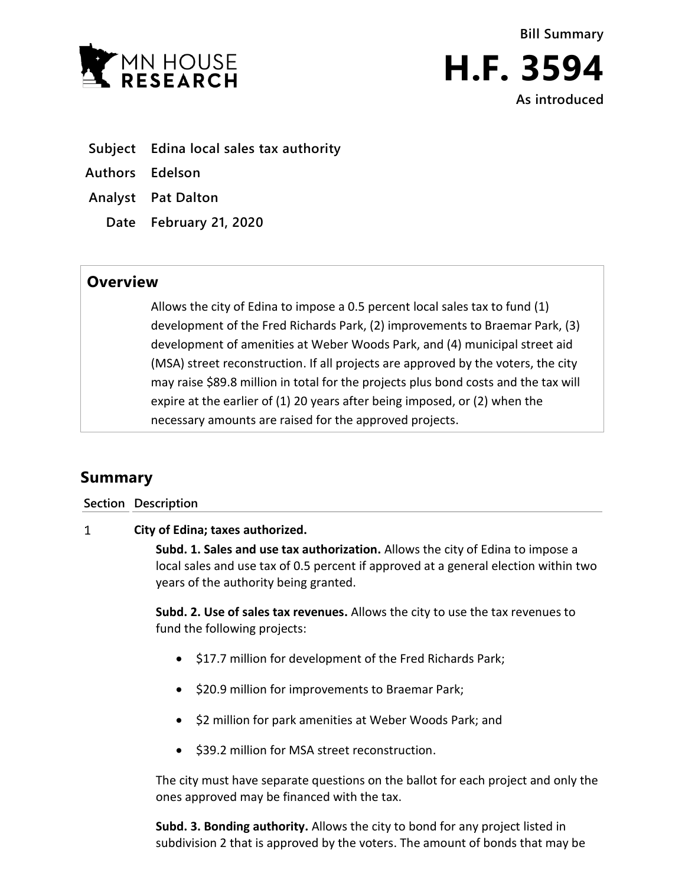



**H.F. 3594 As introduced**

- **Subject Edina local sales tax authority**
- **Authors Edelson**
- **Analyst Pat Dalton**
	- **Date February 21, 2020**

## **Overview**

Allows the city of Edina to impose a 0.5 percent local sales tax to fund (1) development of the Fred Richards Park, (2) improvements to Braemar Park, (3) development of amenities at Weber Woods Park, and (4) municipal street aid (MSA) street reconstruction. If all projects are approved by the voters, the city may raise \$89.8 million in total for the projects plus bond costs and the tax will expire at the earlier of (1) 20 years after being imposed, or (2) when the necessary amounts are raised for the approved projects.

## **Summary**

**Section Description**

## $\mathbf{1}$ **City of Edina; taxes authorized.**

**Subd. 1. Sales and use tax authorization.** Allows the city of Edina to impose a local sales and use tax of 0.5 percent if approved at a general election within two years of the authority being granted.

**Subd. 2. Use of sales tax revenues.** Allows the city to use the tax revenues to fund the following projects:

- $\bullet$  \$17.7 million for development of the Fred Richards Park;
- $\bullet$  \$20.9 million for improvements to Braemar Park;
- \$2 million for park amenities at Weber Woods Park; and
- $\bullet$  \$39.2 million for MSA street reconstruction.

The city must have separate questions on the ballot for each project and only the ones approved may be financed with the tax.

**Subd. 3. Bonding authority.** Allows the city to bond for any project listed in subdivision 2 that is approved by the voters. The amount of bonds that may be